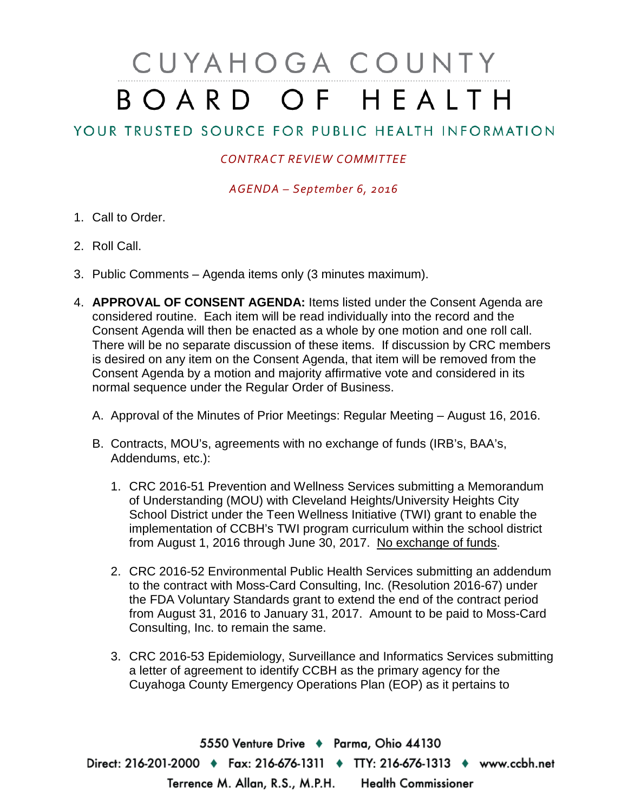## CUYAHOGA COUNTY BOARD OF HEALTH

## YOUR TRUSTED SOURCE FOR PUBLIC HEALTH INFORMATION

## *CONTRACT REVIEW COMMITTEE*

*AGENDA – September 6, 2016*

- 1. Call to Order.
- 2. Roll Call.
- 3. Public Comments Agenda items only (3 minutes maximum).
- 4. **APPROVAL OF CONSENT AGENDA:** Items listed under the Consent Agenda are considered routine. Each item will be read individually into the record and the Consent Agenda will then be enacted as a whole by one motion and one roll call. There will be no separate discussion of these items. If discussion by CRC members is desired on any item on the Consent Agenda, that item will be removed from the Consent Agenda by a motion and majority affirmative vote and considered in its normal sequence under the Regular Order of Business.
	- A. Approval of the Minutes of Prior Meetings: Regular Meeting August 16, 2016.
	- B. Contracts, MOU's, agreements with no exchange of funds (IRB's, BAA's, Addendums, etc.):
		- 1. CRC 2016-51 Prevention and Wellness Services submitting a Memorandum of Understanding (MOU) with Cleveland Heights/University Heights City School District under the Teen Wellness Initiative (TWI) grant to enable the implementation of CCBH's TWI program curriculum within the school district from August 1, 2016 through June 30, 2017. No exchange of funds.
		- 2. CRC 2016-52 Environmental Public Health Services submitting an addendum to the contract with Moss-Card Consulting, Inc. (Resolution 2016-67) under the FDA Voluntary Standards grant to extend the end of the contract period from August 31, 2016 to January 31, 2017. Amount to be paid to Moss-Card Consulting, Inc. to remain the same.
		- 3. CRC 2016-53 Epidemiology, Surveillance and Informatics Services submitting a letter of agreement to identify CCBH as the primary agency for the Cuyahoga County Emergency Operations Plan (EOP) as it pertains to

5550 Venture Drive + Parma, Ohio 44130 Direct: 216-201-2000 • Fax: 216-676-1311 • TTY: 216-676-1313 • www.ccbh.net Terrence M. Allan, R.S., M.P.H. Health Commissioner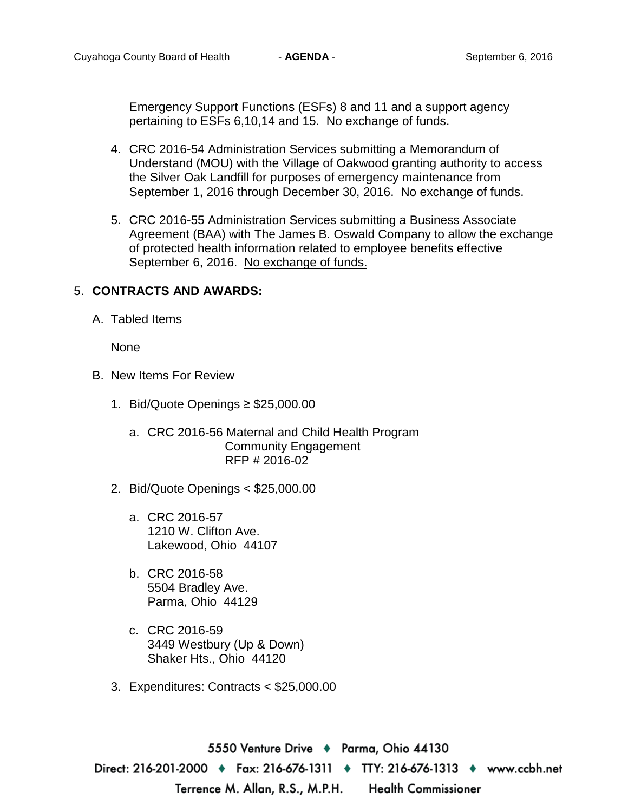Emergency Support Functions (ESFs) 8 and 11 and a support agency pertaining to ESFs 6,10,14 and 15. No exchange of funds.

- 4. CRC 2016-54 Administration Services submitting a Memorandum of Understand (MOU) with the Village of Oakwood granting authority to access the Silver Oak Landfill for purposes of emergency maintenance from September 1, 2016 through December 30, 2016. No exchange of funds.
- 5. CRC 2016-55 Administration Services submitting a Business Associate Agreement (BAA) with The James B. Oswald Company to allow the exchange of protected health information related to employee benefits effective September 6, 2016. No exchange of funds.

## 5. **CONTRACTS AND AWARDS:**

A. Tabled Items

None

- B. New Items For Review
	- 1. Bid/Quote Openings ≥ \$25,000.00
		- a. CRC 2016-56 Maternal and Child Health Program Community Engagement RFP # 2016-02
	- 2. Bid/Quote Openings < \$25,000.00
		- a. CRC 2016-57 1210 W. Clifton Ave. Lakewood, Ohio 44107
		- b. CRC 2016-58 5504 Bradley Ave. Parma, Ohio 44129
		- c. CRC 2016-59 3449 Westbury (Up & Down) Shaker Hts., Ohio 44120
	- 3. Expenditures: Contracts < \$25,000.00

5550 Venture Drive + Parma, Ohio 44130 Direct: 216-201-2000 ♦ Fax: 216-676-1311 ♦ TTY: 216-676-1313 ♦ www.ccbh.net Terrence M. Allan, R.S., M.P.H. Health Commissioner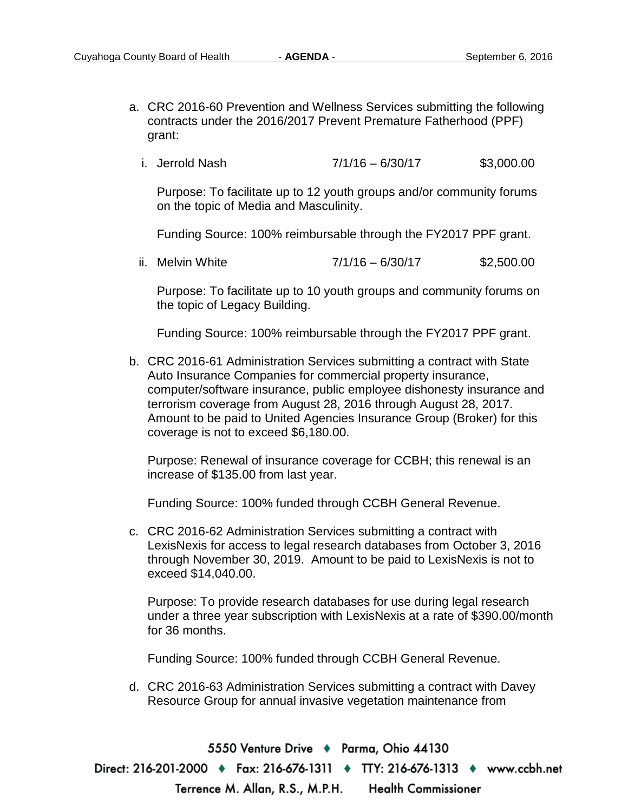- a. CRC 2016-60 Prevention and Wellness Services submitting the following contracts under the 2016/2017 Prevent Premature Fatherhood (PPF) grant:
	- i. Jerrold Nash  $7/1/16 6/30/17$  \$3,000.00

Purpose: To facilitate up to 12 youth groups and/or community forums on the topic of Media and Masculinity.

Funding Source: 100% reimbursable through the FY2017 PPF grant.

ii. Melvin White  $7/1/16 - 6/30/17$  \$2,500.00

Purpose: To facilitate up to 10 youth groups and community forums on the topic of Legacy Building.

Funding Source: 100% reimbursable through the FY2017 PPF grant.

b. CRC 2016-61 Administration Services submitting a contract with State Auto Insurance Companies for commercial property insurance, computer/software insurance, public employee dishonesty insurance and terrorism coverage from August 28, 2016 through August 28, 2017. Amount to be paid to United Agencies Insurance Group (Broker) for this coverage is not to exceed \$6,180.00.

Purpose: Renewal of insurance coverage for CCBH; this renewal is an increase of \$135.00 from last year.

Funding Source: 100% funded through CCBH General Revenue.

c. CRC 2016-62 Administration Services submitting a contract with LexisNexis for access to legal research databases from October 3, 2016 through November 30, 2019. Amount to be paid to LexisNexis is not to exceed \$14,040.00.

Purpose: To provide research databases for use during legal research under a three year subscription with LexisNexis at a rate of \$390.00/month for 36 months.

Funding Source: 100% funded through CCBH General Revenue.

d. CRC 2016-63 Administration Services submitting a contract with Davey Resource Group for annual invasive vegetation maintenance from

5550 Venture Drive + Parma, Ohio 44130 Direct: 216-201-2000 ♦ Fax: 216-676-1311 ♦ TTY: 216-676-1313 ♦ www.ccbh.net Terrence M. Allan, R.S., M.P.H. Health Commissioner